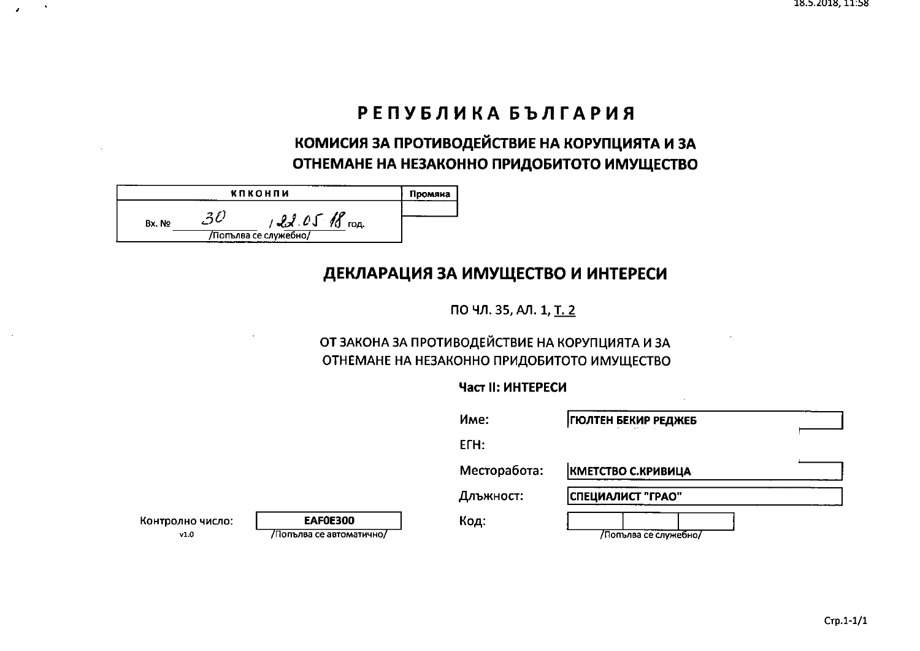# РЕПУБЛИКА БЪЛГАРИЯ

# КОМИСИЯ ЗА ПРОТИВОДЕЙСТВИЕ НА КОРУПЦИЯТА И ЗА ОТНЕМАНЕ НА НЕЗАКОННО ПРИДОБИТОТО ИМУЩЕСТВО

|        | кпконпи                                    | Промяна |
|--------|--------------------------------------------|---------|
| Bx. No | $122.05$ 18 $\mu$<br>/Попълва се служебно/ |         |

## ДЕКЛАРАЦИЯ ЗА ИМУЩЕСТВО И ИНТЕРЕСИ

ПО ЧЛ. 35, АЛ. 1, Т. 2

## ОТ ЗАКОНА ЗА ПРОТИВОДЕЙСТВИЕ НА КОРУПЦИЯТА И ЗА ОТНЕМАНЕ НА НЕЗАКОННО ПРИДОБИТОТО ИМУЩЕСТВО

### Част II: ИНТЕРЕСИ

|                          |                                             | Име:         | <b>ГЮЛТЕН БЕКИР РЕДЖЕБ</b> |  |
|--------------------------|---------------------------------------------|--------------|----------------------------|--|
|                          |                                             | ETH:         |                            |  |
|                          |                                             | Месторабота: | КМЕТСТВО С.КРИВИЦА         |  |
|                          |                                             | Длъжност:    | СПЕЦИАЛИСТ "ГРАО"          |  |
| Контролно число:<br>v1.0 | <b>EAF0E300</b><br>/Попълва се автоматично/ | Код:         | Попълва се служебно/       |  |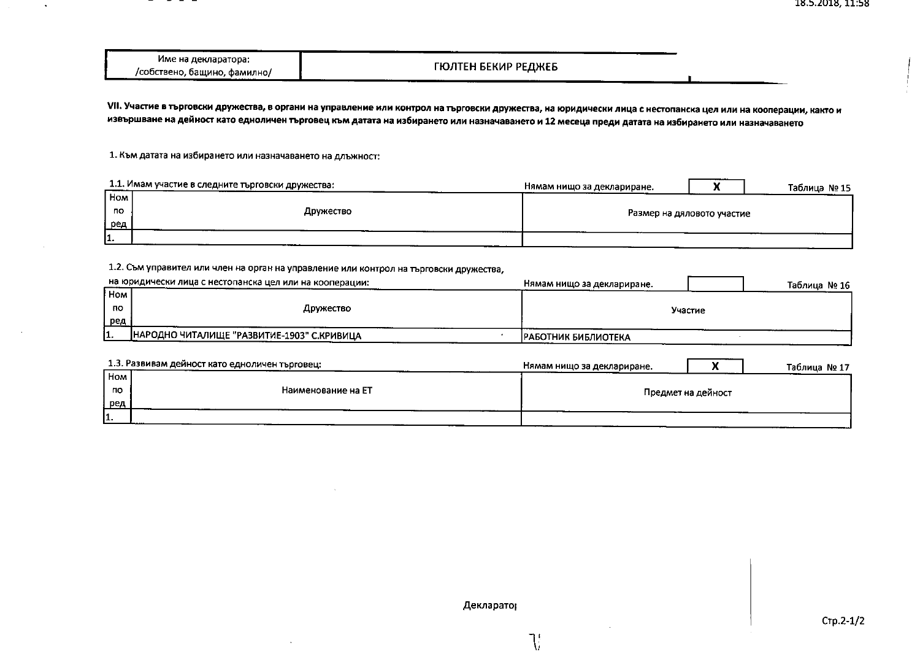| име на декларатора:               |                     |
|-----------------------------------|---------------------|
| /собствено, бащино, фамилно/<br>. | ГЮЛТЕН БЕКИР РЕДЖЕБ |

VII. Участие в търговски дружества, в органи на управление или контрол на търговски дружества, на юридически лица с нестопанска цел или на кооперации, както и извършване на дейност като едноличен търговец към датата на избирането или назначаването и 12 месеца преди датата на избирането или назначаването

1. Към датата на избирането или назначаването на длъжност:

 $\ddot{\phantom{a}}$ 

|      | 1.1. Имам участие в следните търговски дружества: | Нямам нишо за деклариране. | Таблица № 15 |
|------|---------------------------------------------------|----------------------------|--------------|
| Hom  |                                                   |                            |              |
| no   | Дружество                                         | Размер на дяловото участие |              |
| ∐ред |                                                   |                            |              |
| 11.  |                                                   |                            |              |

#### 1.2. Съм управител или член на орган на управление или контрол на търговски дружества,

|                  | на юридически лица с нестопанска цел или на кооперации: | Нямам нишо за деклариране.  |         | Таблица № 16 |
|------------------|---------------------------------------------------------|-----------------------------|---------|--------------|
| <sup>I</sup> Hom |                                                         |                             |         |              |
| по               | Дружество                                               |                             | Участие |              |
| ред              |                                                         |                             |         |              |
| ı.,              | НАРОДНО ЧИТАЛИЩЕ "РАЗВИТИЕ-1903" С.КРИВИЦА              | <b>ІРАБОТНИК БИБЛИОТЕКА</b> |         |              |
|                  |                                                         |                             |         |              |

|     | 1.3. Развивам дейност като едноличен търговец: | Нямам нищо за деклариране. |                    | Таблица № 17 |
|-----|------------------------------------------------|----------------------------|--------------------|--------------|
| Hom |                                                |                            |                    |              |
| по  | Наименование на ЕТ                             |                            | Предмет на дейност |              |
| ред |                                                |                            |                    |              |
| 11. |                                                |                            |                    |              |

 $\mathcal{R}^{\prime}$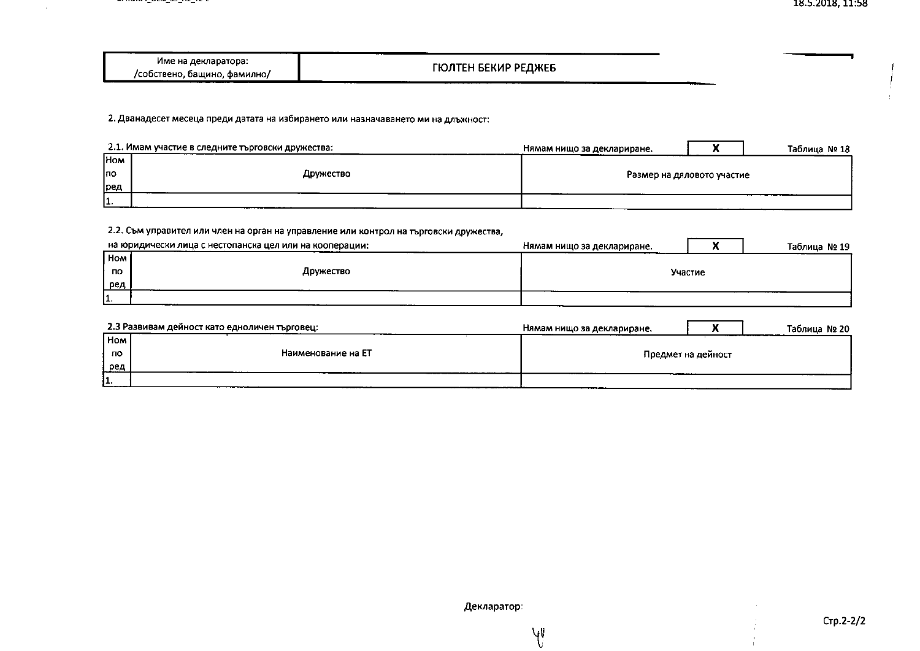| Име на декларатора:          |                     |  |  |
|------------------------------|---------------------|--|--|
|                              | ГЮЛТЕН БЕКИР РЕДЖЕБ |  |  |
|                              |                     |  |  |
| /собствено, бащино, фамилно/ |                     |  |  |

2. Дванадесет месеца преди датата на избирането или назначаването ми на длъжност:

 $\sim$ 

|            | 2.1. Имам участие в следните търговски дружества: | Нямам нищо за деклариране. | Таблица № 18 |
|------------|---------------------------------------------------|----------------------------|--------------|
| <b>HOM</b> |                                                   |                            |              |
| Іпо        | Дружество                                         | Размер на дяловото участие |              |
| ∥ред       |                                                   |                            |              |
| 11<br>.    |                                                   |                            |              |

#### 2.2. Съм управител или член на орган на управление или контрол на търговски дружества, на юридически лица с нестопанска цел или на кооперации: Нямам нищо за деклариране. **Hom** Дружество no Участие ред

|         | 2.3 Развивам дейност като едноличен търговец: | Нямам нищо за деклариране. |                    | Таблица № 20 |
|---------|-----------------------------------------------|----------------------------|--------------------|--------------|
| ! Ном і |                                               |                            |                    |              |
| по      | Наименование на ЕТ                            |                            | Предмет на дейност |              |
| ред     |                                               |                            |                    |              |
| 11.     |                                               |                            |                    |              |

Таблица № 19

 $\overline{\mathbf{x}}$ 

 $V_{\nu}$ U